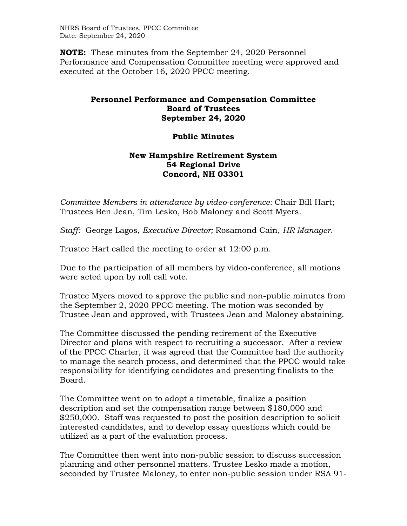NHRS Board of Trustees, PPCC Committee Date: September 24, 2020

**NOTE:** These minutes from the September 24, 2020 Personnel Performance and Compensation Committee meeting were approved and executed at the October 16, 2020 PPCC meeting.

## **Personnel Performance and Compensation Committee Board of Trustees September 24, 2020**

## **Public Minutes**

## **New Hampshire Retirement System 54 Regional Drive Concord, NH 03301**

*Committee Members in attendance by video-conference:* Chair Bill Hart; Trustees Ben Jean, Tim Lesko, Bob Maloney and Scott Myers.

*Staff:* George Lagos, *Executive Director;* Rosamond Cain, *HR Manager*.

Trustee Hart called the meeting to order at 12:00 p.m.

Due to the participation of all members by video-conference, all motions were acted upon by roll call vote.

Trustee Myers moved to approve the public and non-public minutes from the September 2, 2020 PPCC meeting. The motion was seconded by Trustee Jean and approved, with Trustees Jean and Maloney abstaining.

The Committee discussed the pending retirement of the Executive Director and plans with respect to recruiting a successor. After a review of the PPCC Charter, it was agreed that the Committee had the authority to manage the search process, and determined that the PPCC would take responsibility for identifying candidates and presenting finalists to the Board.

The Committee went on to adopt a timetable, finalize a position description and set the compensation range between \$180,000 and \$250,000. Staff was requested to post the position description to solicit interested candidates, and to develop essay questions which could be utilized as a part of the evaluation process.

The Committee then went into non-public session to discuss succession planning and other personnel matters. Trustee Lesko made a motion, seconded by Trustee Maloney, to enter non-public session under RSA 91